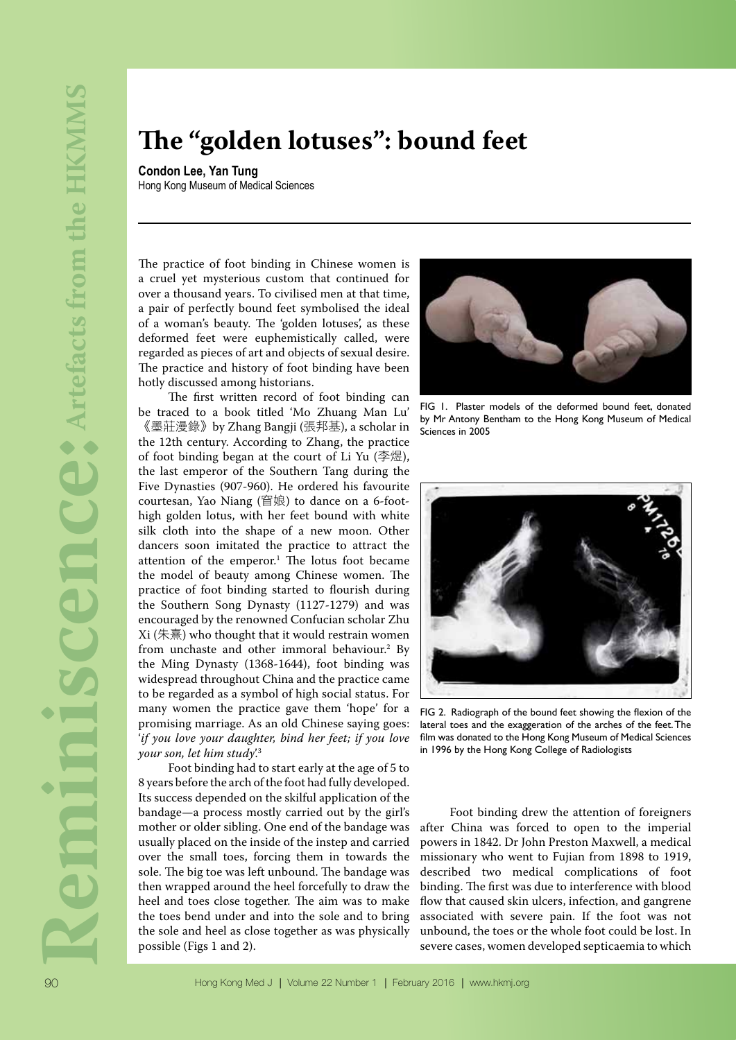## **The "golden lotuses": bound feet**

**Condon Lee, Yan Tung** Hong Kong Museum of Medical Sciences

The practice of foot binding in Chinese women is a cruel yet mysterious custom that continued for over a thousand years. To civilised men at that time, a pair of perfectly bound feet symbolised the ideal of a woman's beauty. The 'golden lotuses', as these deformed feet were euphemistically called, were regarded as pieces of art and objects of sexual desire. The practice and history of foot binding have been hotly discussed among historians.

The first written record of foot binding can be traced to a book titled 'Mo Zhuang Man Lu' 《墨莊漫錄》by Zhang Bangji (張邦基), a scholar in the 12th century. According to Zhang, the practice of foot binding began at the court of Li Yu (李煜), the last emperor of the Southern Tang during the Five Dynasties (907-960). He ordered his favourite courtesan, Yao Niang (窅娘) to dance on a 6-foothigh golden lotus, with her feet bound with white silk cloth into the shape of a new moon. Other dancers soon imitated the practice to attract the attention of the emperor.<sup>1</sup> The lotus foot became the model of beauty among Chinese women. The practice of foot binding started to flourish during the Southern Song Dynasty (1127-1279) and was encouraged by the renowned Confucian scholar Zhu  $Xi$  (朱熹) who thought that it would restrain women from unchaste and other immoral behaviour.2 By the Ming Dynasty (1368-1644), foot binding was widespread throughout China and the practice came to be regarded as a symbol of high social status. For many women the practice gave them 'hope' for a promising marriage. As an old Chinese saying goes: '*if you love your daughter, bind her feet; if you love your son, let him study*'.3

Foot binding had to start early at the age of 5 to 8 years before the arch of the foot had fully developed. Its success depended on the skilful application of the bandage—a process mostly carried out by the girl's mother or older sibling. One end of the bandage was usually placed on the inside of the instep and carried over the small toes, forcing them in towards the sole. The big toe was left unbound. The bandage was then wrapped around the heel forcefully to draw the heel and toes close together. The aim was to make the toes bend under and into the sole and to bring the sole and heel as close together as was physically possible (Figs 1 and 2).



FIG 1. Plaster models of the deformed bound feet, donated by Mr Antony Bentham to the Hong Kong Museum of Medical Sciences in 2005



FIG 2. Radiograph of the bound feet showing the flexion of the lateral toes and the exaggeration of the arches of the feet. The film was donated to the Hong Kong Museum of Medical Sciences in 1996 by the Hong Kong College of Radiologists

Foot binding drew the attention of foreigners after China was forced to open to the imperial powers in 1842. Dr John Preston Maxwell, a medical missionary who went to Fujian from 1898 to 1919, described two medical complications of foot binding. The first was due to interference with blood flow that caused skin ulcers, infection, and gangrene associated with severe pain. If the foot was not unbound, the toes or the whole foot could be lost. In severe cases, women developed septicaemia to which